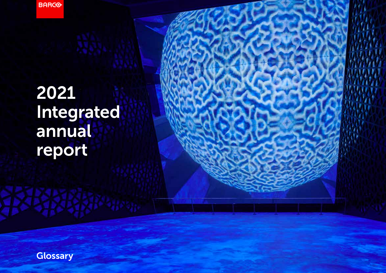**BARGO** 

# 2021 Integrated annual report

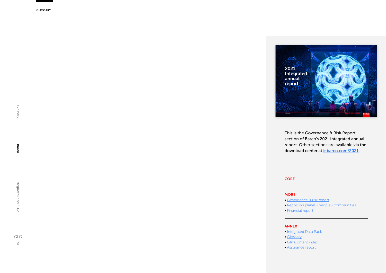

This is the Governance & Risk Report section of Barco's 2021 Integrated annual report. Other sections are available via the download center at **ir.barco.com/2021**.

#### [CORE](https://ir.barco.com/2021/uploads/files/PDF/Barco-IR2021-COR.pdf)

### MORE

- [Governance & risk report](https://ir.barco.com/2021/uploads/files/PDF/Barco-IR2021-CGR.pdf)
- [Report on planet people communities](https://ir.barco.com/2021/uploads/files/PDF/Barco-IR2021-PPC.pdf)
- [Financial report](https://ir.barco.com/2021/uploads/files/PDF/Barco-IR2021-FIN.pdf)

#### ANNEX

- [Integrated Data Pack](https://ir.barco.com/2021/uploads/files/PDF/Barco-IR2021-IDP.pdf)
- [Glossary](https://ir.barco.com/2021/uploads/files/PDF/Barco-IR2021-GLO.pdf)
- [GRI Content index](https://ir.barco.com/2021/uploads/files/PDF/Barco-IR2021-GRI.pdf)
- [Assurance report](https://ir.barco.com/2021/uploads/files/PDF/Barco-IR2021-ASR.pdf)

Barco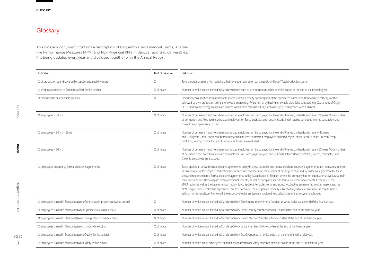# **Glossary**

This glossary document contains a description of frequently used Financial Terms, Alternative Performance Measures (APM) and Non-financial KPI's in Barco's reporting deliverables. It is being updated every year and disclosed together with the Annual Report.

| Indicator                                                                    | Unit of measure | Definition                                                                                                                                                                                                                                                                                                                                                                                                                                                                                                                                                                                                                                                                                                                                                                                                                                                                                                                                                                                                                        |
|------------------------------------------------------------------------------|-----------------|-----------------------------------------------------------------------------------------------------------------------------------------------------------------------------------------------------------------------------------------------------------------------------------------------------------------------------------------------------------------------------------------------------------------------------------------------------------------------------------------------------------------------------------------------------------------------------------------------------------------------------------------------------------------------------------------------------------------------------------------------------------------------------------------------------------------------------------------------------------------------------------------------------------------------------------------------------------------------------------------------------------------------------------|
| % of production spend covered by supplier sustainability score               | %               | Total production spend from suppliers that have been scored on sustainability by Barco/ Total production spend                                                                                                                                                                                                                                                                                                                                                                                                                                                                                                                                                                                                                                                                                                                                                                                                                                                                                                                    |
| % employees trained in Standards@Work (white collars)                        | % of heads      | Number of white-collars trained in Standards@Work (sum of all modules) /number of white-collars at the end of the financial year.                                                                                                                                                                                                                                                                                                                                                                                                                                                                                                                                                                                                                                                                                                                                                                                                                                                                                                 |
| % electricity from renewable sources                                         | $\%$            | Electricity consumption from renewable sources/total electricity consumption of the considered Barco sites. Renewable electricity is either<br>achieved by own production using a renewable source (e.g. PV panels) or by having renewable electricity contracts (e.g. Guarantees of Origin,<br>RECs). Renewable energy sources are sources which have zero direct CO <sub>2</sub> e-emissions (e.g. solar power, wind turbines).                                                                                                                                                                                                                                                                                                                                                                                                                                                                                                                                                                                                 |
| % employees < 30 yrs                                                         | % of heads      | Number of permanent and fixed-term contracted employees on Barco payroll at the end of the year, in heads, with age < 30 years / total number<br>of permanent and fixed-term contracted employees on Barco payroll at year-end, in heads. Interim/temp contracts, interns, contractors and<br>Cinionic employees are excluded.                                                                                                                                                                                                                                                                                                                                                                                                                                                                                                                                                                                                                                                                                                    |
| % employees > 30 yrs < 50 yrs                                                | % of heads      | Number of permanent and fixed-term contracted employees on Barco payroll at the end of the year, in heads, with age >=30 years<br>and =<50 years / total number of permanent and fixed-term contracted employees on Barco payroll at year-end, in heads. Interim/temp<br>contracts, interns, contractors and Cinionic employees are excluded.                                                                                                                                                                                                                                                                                                                                                                                                                                                                                                                                                                                                                                                                                     |
| % employees > 50 yrs                                                         | % of heads      | Number of permanent and fixed-term contracted employees on Barco payroll at the end of the year, in heads, with age > 50 years / total number<br>of permanent and fixed-term contracted employees on Barco payroll at year-end, in heads. Interim/temp contracts, interns, contractors and<br>Cinionic employees are excluded.                                                                                                                                                                                                                                                                                                                                                                                                                                                                                                                                                                                                                                                                                                    |
| % employees covered by formal collective agreements                          | % of heads      | Barco applies an active formal collective agreements policy in these countries and industries where collective agreements are mandatory, relevant<br>or customary. For the scope of this definition, we take into consideration the number of employees captured by collective agreement for these<br>sites and regions where a formal collective agreements policy is applicable. In Belgium where the company has its headquarter as well as its main<br>manufacturing site, Barco applies interprofessional, industry as well as company-specific formal collective agreements. In the rest of the<br>EMEA region as well as the Latin American region Barco applies interprofessional and industry collective agreements. In other regions such as<br>APAC-region; where collective agreements are less common, the company is typically subject of regulatory requirements in this domain. In<br>addition to the requlatory framework the respective topics are typically captured in local policies and employee handbooks. |
| % employees trained in Standards@Work Continuous Improvement (white collars) | $\%$            | Number of white-collars trained in Standards@Work Continuous Improvement /number of white-collars at the end of the financial year.                                                                                                                                                                                                                                                                                                                                                                                                                                                                                                                                                                                                                                                                                                                                                                                                                                                                                               |
| % employees trained in Standards@Work Cybersecurity (white collars)          | % of heads      | Number of white-collars trained in Standards@Work Cybersecurity /number of white-collars at the end of the financial year.                                                                                                                                                                                                                                                                                                                                                                                                                                                                                                                                                                                                                                                                                                                                                                                                                                                                                                        |
| % employees trained in Standards@Work Data protection (white collars)        | % of heads      | Number of white-collars trained in Standards@Work Data Protection /number of white-collars at the end of the financial year.                                                                                                                                                                                                                                                                                                                                                                                                                                                                                                                                                                                                                                                                                                                                                                                                                                                                                                      |
| % employees trained in Standards@Work Ethics (white collars)                 | % of heads      | Number of white-collars trained in Standards@Work Ethics /number of white-collars at the end of the financial year.                                                                                                                                                                                                                                                                                                                                                                                                                                                                                                                                                                                                                                                                                                                                                                                                                                                                                                               |
| % employees trained in Standards@Work Quality (white collars)                | % of heads      | Number of white-collars trained in Standards@Work Quality /number of white-collars at the end of the financial year.                                                                                                                                                                                                                                                                                                                                                                                                                                                                                                                                                                                                                                                                                                                                                                                                                                                                                                              |
| % employees trained in Standards@Work Safety (white collars)                 | % of heads      | Number of white-collar employees trained in Standards@Work Safety /number of white-collars at the end of the financial year.                                                                                                                                                                                                                                                                                                                                                                                                                                                                                                                                                                                                                                                                                                                                                                                                                                                                                                      |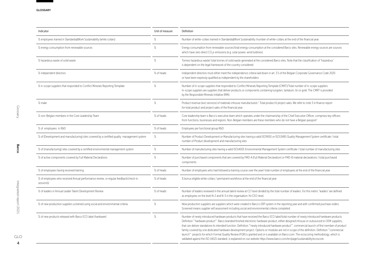| Indicator                                                                                         | Unit of measure | Definition                                                                                                                                                                                                                                                                                                                                                                                                                                                                                                                                                                                                                                                                                                                                                                                                                                                             |
|---------------------------------------------------------------------------------------------------|-----------------|------------------------------------------------------------------------------------------------------------------------------------------------------------------------------------------------------------------------------------------------------------------------------------------------------------------------------------------------------------------------------------------------------------------------------------------------------------------------------------------------------------------------------------------------------------------------------------------------------------------------------------------------------------------------------------------------------------------------------------------------------------------------------------------------------------------------------------------------------------------------|
| % employees trained in Standards@Work Sustainability (white collars)                              | %               | Number of white-collars trained in Standards@Work Sustainability /number of white-collars at the end of the financial year.                                                                                                                                                                                                                                                                                                                                                                                                                                                                                                                                                                                                                                                                                                                                            |
| % energy consumption from renewable sources                                                       | $\frac{9}{6}$   | Energy consumption from renewable sources/total energy consumption at the considered Barco sites. Renewable energy sources are sources<br>which have zero direct CO <sub>3</sub> e-emissions (e.g. solar power, wind turbines).                                                                                                                                                                                                                                                                                                                                                                                                                                                                                                                                                                                                                                        |
| % hazardous waste of solid waste                                                                  | $\%$            | Tonnes hazardous waste/ total tonnes of solid waste generated at the considered Barco sites. Note that the classification of "hazardous"<br>is dependent on the legal framework of the country considered.                                                                                                                                                                                                                                                                                                                                                                                                                                                                                                                                                                                                                                                             |
| % independent directors                                                                           | % of heads      | Independent directors must either meet the independence criteria laid down in art. 3.5 of the Belgian Corporate Governance Code 2020<br>or have been expressly qualified as independent by the shareholders                                                                                                                                                                                                                                                                                                                                                                                                                                                                                                                                                                                                                                                            |
| % in-scope suppliers that responded to Conflict Minerals Reporting Template                       | %               | Number of in-scope suppliers that responded to Conflict Minerals Reporting Template (CMRT)/Total number of in-scope suppliers.<br>In-scope suppliers are suppliers that deliver products or components containing tungsten, tantalum, tin or gold. The CMRT is provided<br>by the Responsible Minerals Initiative (RMI).                                                                                                                                                                                                                                                                                                                                                                                                                                                                                                                                               |
| % make                                                                                            | $\%$            | Product revenue (excl services) of materials inhouse manufactured / Total product & project sales. We refer to note 3 in finance report<br>for total product and project sales of the financial year.                                                                                                                                                                                                                                                                                                                                                                                                                                                                                                                                                                                                                                                                  |
| % non-Belgian members in the Core Leadership Team                                                 | % of heads      | Core leadership team is Barco's executive team which operates under the chairmanship of the Chief Executive Officer, comprises key officers<br>from functions, businesses and regions. Non-Belgian members are these members who do not have a Belgian passport."                                                                                                                                                                                                                                                                                                                                                                                                                                                                                                                                                                                                      |
| % of employees in R&D                                                                             | % of heads      | Employees per functional group R&D                                                                                                                                                                                                                                                                                                                                                                                                                                                                                                                                                                                                                                                                                                                                                                                                                                     |
| % of (Development and manufacturing) sites covered by a certified quality management system       | $\%$            | Number of Product Development or Manufacturing sites having a valid ISO9001 or ISO13485 Quality Management System certificate / total<br>number of Product development and manufacturing sites                                                                                                                                                                                                                                                                                                                                                                                                                                                                                                                                                                                                                                                                         |
| % of (manufacturing) sites covered by a certified environmental management system                 | $\%$            | Number of manufacturing sites having a valid ISO14001 Environmental Management System certificate / total number of manufacturing sites                                                                                                                                                                                                                                                                                                                                                                                                                                                                                                                                                                                                                                                                                                                                |
| % of active components covered by Full Material Declarations                                      | $\%$            | Number of purchased components that are covered by FMD-A (Full Material Declaration) or FMD-B material declarations / total purchased<br>components.                                                                                                                                                                                                                                                                                                                                                                                                                                                                                                                                                                                                                                                                                                                   |
| % of employees having received training                                                           | % of heads      | Number of employees who had followed a training course over the year/ total number of employees at the end of the financial year                                                                                                                                                                                                                                                                                                                                                                                                                                                                                                                                                                                                                                                                                                                                       |
| % of employees who received Annual performance review, or regular feedback/check-in<br>session(s) | % of heads      | % bonus eligible white collars / permanent workforce at the end of the financial year                                                                                                                                                                                                                                                                                                                                                                                                                                                                                                                                                                                                                                                                                                                                                                                  |
| % of leaders in Annual Leader Talent Development Review                                           | % of heads      | Number of leaders reviewed in the annual talent review at CLT level divided by the total number of leaders. For this metric "leaders" are defined<br>as employees on the level N-2 and N-3 in the organisation. N=CEO-level.                                                                                                                                                                                                                                                                                                                                                                                                                                                                                                                                                                                                                                           |
| % of new production suppliers screened using social and environmental criteria                    | $\%$            | New production suppliers are suppliers which were created in Barco's ERP system in the reporting year and with confirmed purchase orders.<br>Screened means supplier self assessment including social and environmental criteria completed.                                                                                                                                                                                                                                                                                                                                                                                                                                                                                                                                                                                                                            |
| % of new products released with Barco ECO label (hardware)                                        | %               | Number of newly introduced hardware products that have received the Barco ECO label/total number of newly introduced hardware products.<br>Definition ""hardware product": Barco branded finished electronic hardware product, either designed inhouse or outsourced to OEM suppliers,<br>that can deliver standalone its intended function. Definition "newly introduced hardware product": commercial launch of first member of product<br>family covered by one dedicated hardware development project. Options or modules are not in scope of the definition. Definition "commercial<br>launch**: projects for which Formal Quality Review (FQR) is granted and or is available on Barco.com. The ecoscoring methodology, which is<br>validated against the ISO 14021 standard, is explained on our website https://www.barco.com/en/page/sustainability/ecoscore. |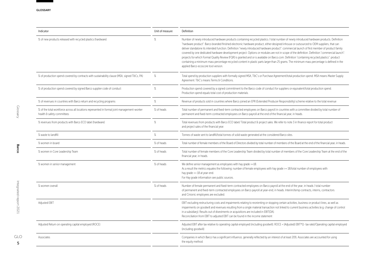| Unit of measure | Definition                                                                                                                                                                                                                                                                                                                                                                                                                                                                                                                                                                                                                                                                                                                                                                                                                                                                                                                       |
|-----------------|----------------------------------------------------------------------------------------------------------------------------------------------------------------------------------------------------------------------------------------------------------------------------------------------------------------------------------------------------------------------------------------------------------------------------------------------------------------------------------------------------------------------------------------------------------------------------------------------------------------------------------------------------------------------------------------------------------------------------------------------------------------------------------------------------------------------------------------------------------------------------------------------------------------------------------|
| $\%$            | Number of newly introduced hardware products containing recycled plastics / total number of newly introduced hardware products. Definition<br>"hardware product": Barco branded finished electronic hardware product, either designed inhouse or outsourced to OEM suppliers, that can<br>deliver standalone its intended function. Definition "newly introduced hardware product": commercial launch of first member of product family<br>covered by one dedicated hardware development project. Options or modules are not in scope of the definition. Definition "commercial launch":<br>projects for which Formal Quality Review (FQR) is granted and or is available on Barco.com. Definition "containing recycled plastics": product<br>containing a minimum mass percentage recycled content in plastic parts larger than 25 grams. The minimum mass percentage is defined in the<br>applied Barco ecoscore tool version. |
| $\%$            | Total spend by production suppliers with formally signed MSA, T&C's or Purchase Agreement/total production spend. MSA means Master Supply<br>Agreement. T&C's means Terms & Conditions.                                                                                                                                                                                                                                                                                                                                                                                                                                                                                                                                                                                                                                                                                                                                          |
| $\%$            | Production spend covered by a signed commitment to the Barco code of conduct for suppliers or equivalent/total production spend.<br>Production spend equals total cost of production materials.                                                                                                                                                                                                                                                                                                                                                                                                                                                                                                                                                                                                                                                                                                                                  |
| $\%$            | Revenue of products sold in countries where Barco joined an EPR (Extended Producer Responsibility) scheme relative to the total revenue                                                                                                                                                                                                                                                                                                                                                                                                                                                                                                                                                                                                                                                                                                                                                                                          |
| % of heads      | Total number of permanent and fixed-term contracted employees on Barco payroll in countries with a committee divided by total number of<br>permanent and fixed-term contracted employees on Barco payroll at the end of the financial year, in heads.                                                                                                                                                                                                                                                                                                                                                                                                                                                                                                                                                                                                                                                                            |
| $\%$            | Total revenues from products with Barco ECO label/ Total product & project sales. We refer to note 3 in finance report for total product<br>and project sales of the financial year.                                                                                                                                                                                                                                                                                                                                                                                                                                                                                                                                                                                                                                                                                                                                             |
| $\%$            | Tonnes of waste sent to landfill/total tonnes of solid waste generated at the considered Barco sites.                                                                                                                                                                                                                                                                                                                                                                                                                                                                                                                                                                                                                                                                                                                                                                                                                            |
| % of heads      | Total number of female members of the Board of Directors divided by total number of members of the Board at the end of the financial year, in heads.                                                                                                                                                                                                                                                                                                                                                                                                                                                                                                                                                                                                                                                                                                                                                                             |
| % of heads      | Total number of female members of the Core Leadership Team divided by total number of members of the Core Leadership Team at the end of the<br>financial year, in heads.                                                                                                                                                                                                                                                                                                                                                                                                                                                                                                                                                                                                                                                                                                                                                         |
| % of heads      | We define senior management as employees with hay grade >=18.<br>As a result the metrics equates the following: number of female employees with hay grade >= 18/total number of employees with<br>hay grade >= 18 at year-end.<br>For Hay grade information see public sources.                                                                                                                                                                                                                                                                                                                                                                                                                                                                                                                                                                                                                                                  |
| % of heads      | Number of female permanent and fixed-term contracted employees on Barco payroll at the end of the year, in heads / total number<br>of permanent and fixed-term contracted employees on Barco payroll at year-end, in heads. Interim/temp contracts, interns, contractors<br>and Cinionic employees are excluded.                                                                                                                                                                                                                                                                                                                                                                                                                                                                                                                                                                                                                 |
|                 | EBIT excluding restructuring costs and impairments relating to reorienting or stopping certain activities, business or product lines, as well as<br>impairments on goodwill and revenues resulting from a single material transaction not linked to current business activities (e.g. change of control<br>in a subsidiary). Results out of divestments or acquisitions are included in EBIT(DA).<br>Reconciliation from EBIT to adjusted EBIT can be found in the income statement                                                                                                                                                                                                                                                                                                                                                                                                                                              |
|                 | Adjusted EBIT after tax relative to operating capital employed (including goodwill). ROCE = (Adjusted) EBIT*(1- tax rate)/Operating capital employed<br>(including goodwill)                                                                                                                                                                                                                                                                                                                                                                                                                                                                                                                                                                                                                                                                                                                                                     |
|                 | Companies in which Barco has a significant influence, generally reflected by an interest of at least 20%. Associates are accounted for using<br>the equity method.                                                                                                                                                                                                                                                                                                                                                                                                                                                                                                                                                                                                                                                                                                                                                               |
|                 |                                                                                                                                                                                                                                                                                                                                                                                                                                                                                                                                                                                                                                                                                                                                                                                                                                                                                                                                  |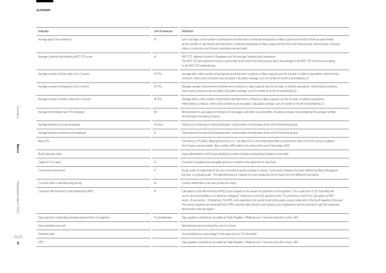| Indicator                                                    | Unit of measure | Definition                                                                                                                                                                                                                                                                                                                                                                                                                                                                                                                                                                                                         |
|--------------------------------------------------------------|-----------------|--------------------------------------------------------------------------------------------------------------------------------------------------------------------------------------------------------------------------------------------------------------------------------------------------------------------------------------------------------------------------------------------------------------------------------------------------------------------------------------------------------------------------------------------------------------------------------------------------------------------|
| Average age of the workforce                                 | #               | Sum of all ages of the number of permanent and fixed-term contracted employees on Barco payroll at the end of financial year divided<br>by the number of permanent and fixed-term contracted employees on Barco payroll at the end of the financial year. Interim/temp contracts,<br>interns, contractors and Cinionic employees are excluded.                                                                                                                                                                                                                                                                     |
| Average cybersecurity maturity (NIST CSF) score              | #               | NIST CST: National Institute of Standards and Technology Cybersecurity Framework.<br>The NIST CSF self-assessment result is performed at the end of the financial year and is the average of the NIST CSF Functions according<br>to the NIST CSF methodology.                                                                                                                                                                                                                                                                                                                                                      |
| Average number of blue collars (incl Cinionic)               | #FTEs           | Average blue-collar number of permanent and fixed-term contracts on Barco payroll over the full year, in fulltime equivalents. Interim/temp<br>contracts, interns and contractors are excluded. Calculation average: sum of number at month end divided by 12.                                                                                                                                                                                                                                                                                                                                                     |
| Average number of employees (incl Cinionic)                  | #FTEs           | Average number of permanent and fixed-term contracts on Barco payroll over the full year, in fulltime equivalents. Interim/temp contracts,<br>interns and contractors are excluded. Calculation average: sum of number at month end divided by 12.                                                                                                                                                                                                                                                                                                                                                                 |
| Average number of white collars (incl Cinionic)              | #FTEs           | Average white-collar number of permanent and fixed-term contracts on Barco payroll over the full year, in fulltime equivalents.<br>Interim/temp contracts, interns and contractors are excluded. Calculation average: sum of number at month end divided by 12.                                                                                                                                                                                                                                                                                                                                                    |
| Average remuneration per FTE employee                        | k€              | Remuneration is calculated on the basis of total wages and direct social benefits, including company cars divided by the average number<br>of employees (including Cinionic)                                                                                                                                                                                                                                                                                                                                                                                                                                       |
| Average training hours per employee                          | # hours         | Total hours of learning or training followed / total number of employees at the end of the financial year                                                                                                                                                                                                                                                                                                                                                                                                                                                                                                          |
| Average training investment per employee                     | €               | Total expenses for learning & development / total number of employees at the end of the financial year                                                                                                                                                                                                                                                                                                                                                                                                                                                                                                             |
| <b>BarcoCFG</b>                                              |                 | 'Full name is CFG Barco (Beijing) Electronics Co., Ltd. BarcoCFG is the entity where Barco joined forces with China Film Group to address<br>the Chinese cinema market. Barco holds a 49% stake in this entity at the end of December 2021                                                                                                                                                                                                                                                                                                                                                                         |
| Book value per share                                         |                 | Equity attributable to the Group divided by number of shares outstanding at balance sheet date.                                                                                                                                                                                                                                                                                                                                                                                                                                                                                                                    |
| Capex (in % of sales)                                        | $\%$            | Purchase of tangible and intangible assets as included in the statement of cash flow                                                                                                                                                                                                                                                                                                                                                                                                                                                                                                                               |
| Community investment                                         | €               | Rough order of magnitude of the sum of money & goods invested in charity / community initiatives that were defined by Barco throughout<br>the year, on a global scale. The reported amount is based on a non-exhaustive list of inputs from the different local teams.                                                                                                                                                                                                                                                                                                                                             |
| Countries with a manufacturing facility                      | #               | Country where Barco has own production site(s)                                                                                                                                                                                                                                                                                                                                                                                                                                                                                                                                                                     |
| Customer Net Promoter Score (relationship NPS)               | #               | Calculation of the Net Promotor (NPS) Score is based on the answer of customers to the question: "On a scale from 0-10, how likely are<br>you to recommend Barco to a friend or colleague?" Detractors score 0-6, passives score 7-8, promotors score 9-10. Calculation of NPS<br>result = % promotors - % detractors. The NPS score reported is the overall result of the yearly survey conducted in the fourth quarter of the year.<br>The survey recipients are extracted from CRM customer data; product and mybarco.com registrations and are selected to get 100 responses<br>per business units per region. |
| Days payment outstanding (average payment term of suppliers) | # calendar days | Days payable outstanding calculated as Trade Payables / (Material cost + Services and other costs) x 365                                                                                                                                                                                                                                                                                                                                                                                                                                                                                                           |
| Direct available net cash                                    |                 | Net financial cash excluding the cash in Cinionic.                                                                                                                                                                                                                                                                                                                                                                                                                                                                                                                                                                 |
| Dividend yield                                               |                 | Gross dividend as a percentage of the share price on 31 December.                                                                                                                                                                                                                                                                                                                                                                                                                                                                                                                                                  |
| <b>DPO</b>                                                   |                 | Days payable outstanding calculated as Trade Payables / (Material cost + Services and other costs) x 365                                                                                                                                                                                                                                                                                                                                                                                                                                                                                                           |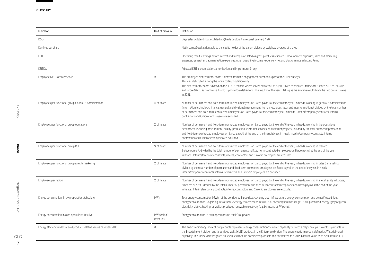| Indicator                                                               | Unit of measure       | Definition                                                                                                                                                                                                                                                                                                                                                                                                                                                                                         |
|-------------------------------------------------------------------------|-----------------------|----------------------------------------------------------------------------------------------------------------------------------------------------------------------------------------------------------------------------------------------------------------------------------------------------------------------------------------------------------------------------------------------------------------------------------------------------------------------------------------------------|
| <b>DSO</b>                                                              |                       | Days sales outstanding calculated as ((Trade debtors / (sales past quarter)) * 90                                                                                                                                                                                                                                                                                                                                                                                                                  |
| Earnings per share                                                      |                       | Net income/(loss) attributable to the equity holder of the parent divided by weighted average of shares                                                                                                                                                                                                                                                                                                                                                                                            |
| EBIT                                                                    |                       | Operating result (earnings before interest and taxes), calculated as gross profit less research & development expenses, sales and marketing<br>expenses, general and administration expenses, other operating income (expense) - net and plus or minus adjusting items                                                                                                                                                                                                                             |
| EBITDA                                                                  |                       | Adjusted EBIT + depreciation, amortization and impairments (if any).                                                                                                                                                                                                                                                                                                                                                                                                                               |
| Employee Net Promoter Score                                             | $\#$                  | The employee Net Promotor score is derived from the engagement question as part of the Pulse surveys.<br>This was distributed among the white collar population only.<br>The Net Promotor score is based on the E-NPS technic where scores between 1 to 6 (on 10) are considered "detractors"; score 7 & 8 as "passive"<br>and score 9 & 10 as promotors. E-NPS is promotors-detractors. The results for the year is taking as the average results from the two pulse surveys<br>in 2021.          |
| Employees per functional group General & Administration                 | % of heads            | Number of permanent and fixed-term contracted employees on Barco payroll at the end of the year, in heads, working in general & administration<br>(information technology, finance, general and divisional management, human resources, legal and investor relations), divided by the total number<br>of permanent and fixed-term contracted employees on Barco payroll at the end of the year, in heads. Interim/temporary contracts, interns,<br>contractors and Cinionic employees are excluded |
| Employees per functional group operations                               | % of heads            | Number of permanent and fixed-term contracted employees on Barco payroll at the end of the year, in heads, working in the operations<br>department (including procurement, quality, production, customer service and customer projects), divided by the total number of permanent<br>and fixed-term contracted employees on Barco payroll at the end of the financial year, in heads. Interim/temporary contracts, interns,<br>contractors and Cinionic employees are excluded.                    |
| Employees per functional group R&D                                      | % of heads            | Number of permanent and fixed-term contracted employees on Barco payroll at the end of the year, in heads, working in research<br>& development, divided by the total number of permanent and fixed-term contracted employees on Barco payroll at the end of the year,<br>in heads. Interim/temporary contracts, interns, contractors and Cinionic employees are excluded.                                                                                                                         |
| Employees per functional group sales & marketing                        | % of heads            | Number of permanent and fixed-term contracted employees on Barco payroll at the end of the year, in heads, working in sales & marketing,<br>divided by the total number of permanent and fixed-term contracted employees on Barco payroll at the end of the year, in heads.<br>Interim/temporary contracts, interns, contractors and Cinionic employees are excluded.                                                                                                                              |
| Employees per region                                                    | % of heads            | Number of permanent and fixed-term contracted employees on Barco payroll at the end of the year, in heads, working in a legal entity in Europe,<br>Americas or APAC, divided by the total number of permanent and fixed-term contracted employees on Barco payroll at the end of the year,<br>in heads. Interim/temporary contracts, interns, contractors and Cinionic employees are excluded.                                                                                                     |
| Energy consumption in own operations (absolute)                         | <b>MWh</b>            | Total energy consumption (MWh) of the considered Barco sites, covering both infrastructure energy consumption and owned/leased fleet<br>energy consumption. Regarding infrastructure energy this covers both fossil fuel consumption (natural gas, fuel), purchased energy (grey or green<br>electricity, district heating) as well as produced renewable electricity (e.g. by means of PV panels)                                                                                                 |
| Energy consumption in own operations (relative)                         | MWh/mio €<br>revenues | Energy consumption in own operations on total Group sales.                                                                                                                                                                                                                                                                                                                                                                                                                                         |
| Energy efficiency index of sold products relative versus base year 2015 | #                     | The energy efficiency index of our products represents energy consumption/delivered capability of Barco's major groups: projectors products in<br>the Entertainment division and large video walls & LED products in the Enterprise division. The energy performance is defined as Watt/delivered<br>capability. This indicator is weighted on revenues from the considered products and normalized to a 2015 baseline value (with default value 1,0).                                             |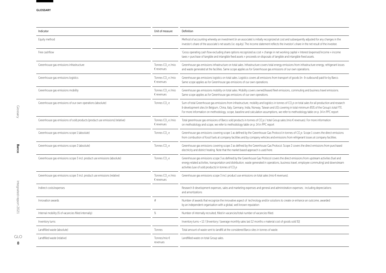| Indicator                                                                    | Unit of measure                                      | Definition                                                                                                                                                                                                                                                                                                                                                                                                                                                 |
|------------------------------------------------------------------------------|------------------------------------------------------|------------------------------------------------------------------------------------------------------------------------------------------------------------------------------------------------------------------------------------------------------------------------------------------------------------------------------------------------------------------------------------------------------------------------------------------------------------|
| Equity method                                                                |                                                      | Method of accounting whereby an investment (in an associate) is initially recognized at cost and subsequently adjusted for any changes in the<br>investor's share of the associate's net assets (i.e. equity). The income statement reflects the investor's share in the net result of the investee.                                                                                                                                                       |
| Free cashflow                                                                |                                                      | 'Gross operating cash flow excluding share options recognized as cost + change in net working capital + Interest (expense)/income + income<br>taxes + purchase of tangible and intangible fixed assets + proceeds on disposals of tangible and intangible fixed assets.                                                                                                                                                                                    |
| Greenhouse gas emissions infrastructure                                      | Tonnes CO <sub>2</sub> e /mio<br>€ revenues          | Greenhouse gas emissions infrastructure on total sales. Infrastructure covers total energy emissions from infrastructure energy, refrigerant losses<br>and waste generated at the facilities. Same scope applies as for Greenhouse gas emissions of our own operations.                                                                                                                                                                                    |
| Greenhouse gas emissions logistics                                           | Tonnes CO <sub>2</sub> e /mio<br>$\epsilon$ revenues | Greenhouse gas emissions logistics on total sales. Logistics covers all emissions from transport of goods (in- & outbound) paid for by Barco.<br>Same scope applies as for Greenhouse gas emissions of our own operations.                                                                                                                                                                                                                                 |
| Greenhouse gas emissions mobility                                            | Tonnes CO <sub>2</sub> e /mio<br>$\epsilon$ revenues | Greenhouse gas emissions mobility on total sales. Mobility covers owned/leased fleet emissions, commuting and business travel emissions.<br>Same scope applies as for Greenhouse gas emissions of our own operations.                                                                                                                                                                                                                                      |
| Greenhouse gas emissions of our own operations (absolute)                    | Tonnes CO <sub>2</sub> e                             | Sum of total Greenhouse gas emissions from infrastructure, mobility and logistics in tonnes of CO <sub>3</sub> e on total sales for all production and research<br>& development sites (in Belgium, China, Italy, Germany, India, Norway, Taiwan and US) covering in total minimum 85% of the Group's total FTE.<br>For more information on methodology, scope, baseline and calculation assumptions, we refer to methodology table on p. 14 in PPC report |
| Greenhouse gas emissions of sold products (product use emissions) (relative) | Tonnes CO <sub>2</sub> e /mio<br>$\epsilon$ revenues | Total greenhouse gas emissions of Barco sold products in tonnes of CO <sub>2</sub> e / total Group sales (mio € revenues). For more information<br>on methodology and scope, we refer to methodology table on p. 14 in PPC report                                                                                                                                                                                                                          |
| Greenhouse gas emissions scope 1 (absolute)                                  | Tonnes CO <sub>2</sub> e                             | Greenhouse gas emissions covering scope 1 as defined by the Greenhouse Gas Protocol in tonnes of CO <sub>2</sub> e. Scope 1 covers the direct emissions<br>from combustion of fossil fuels at company facilities and by company vehicles and emissions from refrigerant losses at company facilities.                                                                                                                                                      |
| Greenhouse gas emissions scope 2 (absolute)                                  | Tonnes CO <sub>2</sub> e                             | Greenhouse gas emissions covering scope 2 as defined by the Greenhouse Gas Protocol. Scope 2 covers the direct emissions from purchased<br>electricity and district heating. Note that the market based approach is used here.                                                                                                                                                                                                                             |
| Greenhouse gas emissions scope 3 incl. product use emissions (absolute)      | Tonnes CO <sub>2</sub> e                             | Greenhouse gas emissions scope 3 as defined by the Greenhouse Gas Protocol covers the direct emissions from upstream activities (fuel and<br>energy related activities, transportation and distribution, waste generated in operations, business travel, employee commuting) and downstream<br>activities (use of sold products) in tonnes of CO <sub>2</sub> e                                                                                            |
| Greenhouse gas emissions scope 3 incl. product use emissions (relative)      | Tonnes CO <sub>3</sub> e /mio<br>$\epsilon$ revenues | Greenhouse gas emissions scope 3 incl. product use emissions on total sales (mio € revenues).                                                                                                                                                                                                                                                                                                                                                              |
| Indirect costs/expenses                                                      |                                                      | Research & development expenses, sales and marketing expenses and general and administration expenses; including depreciations<br>and amortizations                                                                                                                                                                                                                                                                                                        |
| Innovation awards                                                            | #                                                    | Number of awards that recognize the innovative aspect of technology and/or solutions to create or enhance an outcome, awarded<br>by an independent organisation with a global, well known reputation                                                                                                                                                                                                                                                       |
| Internal mobility (% of vacancies filled internally)                         | %                                                    | Number of internally recruited, filled in vacancies/total number of vacancies filled.                                                                                                                                                                                                                                                                                                                                                                      |
| Inventory turns                                                              |                                                      | Inventory turns = 12 / [Inventory / (average monthly sales last 12 months x material cost of goods sold %)]                                                                                                                                                                                                                                                                                                                                                |
| Landfilled waste (absolute)                                                  | Tonnes                                               | Total amount of waste sent to landfill at the considered Barco sites in tonnes of waste.                                                                                                                                                                                                                                                                                                                                                                   |
| Landfilled waste (relative)                                                  | Tonnes/mio €<br>revenues                             | Landfilled waste on total Group sales.                                                                                                                                                                                                                                                                                                                                                                                                                     |

GLO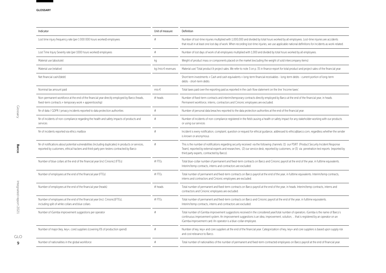| Indicator                                                                                                                                                                                     | Unit of measure    | Definition                                                                                                                                                                                                                                                                                                                                          |
|-----------------------------------------------------------------------------------------------------------------------------------------------------------------------------------------------|--------------------|-----------------------------------------------------------------------------------------------------------------------------------------------------------------------------------------------------------------------------------------------------------------------------------------------------------------------------------------------------|
| Lost time injury frequency rate (per 1 000 000 hours worked) employees                                                                                                                        | $\#$               | Number of lost-time injuries multiplied with 1,000,000 and divided by total hours worked by all employees. Lost-time injuries are accidents<br>that result in at least one lost day of work. When recording lost-time injuries, we use applicable national definitions for incidents as work-related.                                               |
| Lost Time Injury Severity rate (per 1000 hours worked) employees                                                                                                                              | #                  | Number of lost days of work of all employees multiplied with 1,000 and divided by total hours worked by all employees.                                                                                                                                                                                                                              |
| Material use (absolute)                                                                                                                                                                       | kg                 | Weight of product mass or components placed on the market (excluding the weight of sold intercompany items)                                                                                                                                                                                                                                         |
| Material use (relative)                                                                                                                                                                       | kg /mio € revenues | Material use/ Total product & project sales. We refer to note 3 on p. 35 in finance report for total product and project sales of the financial year.                                                                                                                                                                                               |
| Net financial cash/(debt)                                                                                                                                                                     |                    | Short term investments + Cash and cash equivalents + long-term financial receivables - long-term debts - current portion of long-term<br>debts - short-term debts                                                                                                                                                                                   |
| Nominal tax amount paid                                                                                                                                                                       | mio $\epsilon$     | Total taxes paid over the reporting paid as reported in the cash flow statement on the line 'Income taxes'                                                                                                                                                                                                                                          |
| Non-permanent workforce at the end of the financial year directly employed by Barco (heads,<br>fixed-term contracts + temporary work + apprenticeship)                                        | # heads            | Number of fixed-term contracts and interim/temporary contracts directly employed by Barco at the end of the financial year, in heads.<br>Permanent workforce, interns, contractors and Cinionic employees are excluded.                                                                                                                             |
| Nr of data / GDPR / privacy incidents reported to data protection authorities                                                                                                                 | #                  | Number of personal data breaches reported to the data protection authorities at the end of the financial year.                                                                                                                                                                                                                                      |
| Nr of incidents of non-compliance regarding the health and safety impacts of products and<br>services                                                                                         | #                  | Number of incidents of non-compliance registered in the field causing a health or safety impact for any stakeholder working with our products<br>or using our services                                                                                                                                                                              |
| Nr of incidents reported via ethics mailbox                                                                                                                                                   | #                  | Incident is every notification, complaint, question or request for ethical guidance, addressed to ethics@barco.com, regardless whether the sender<br>is known or anonymous                                                                                                                                                                          |
| Nr of notifications about potential vulnerabilities (including duplicates) in products or services,<br>reported by customers, ethical hackers and third-party pen-testers contracted by Barco | #                  | This is the number of notifications regarding security received via the following channels: (1) our PSIRT (Product Security Incident Response<br>Team), reported by external experts and researchers, (2) our service desk, reported by customers, or (3) via penetration test reports (reported by<br>third party experts, contracted by Barco).   |
| Number of blue collars at the end of the financial year (incl Cinionic) (FTEs)                                                                                                                | #FTEs              | Total blue-collar number of permanent and fixed-term contracts on Barco and Cinionic payroll at the end of the year, in fulltime equivalents.<br>Interim/temp contracts, interns and contractors are excluded.                                                                                                                                      |
| Number of employees at the end of the financial year (FTEs)                                                                                                                                   | #FTEs              | Total number of permanent and fixed-term contracts on Barco payroll at the end of the year, in fulltime equivalents. Interim/temp contracts,<br>interns and contractors and Cinionic employees are excluded.                                                                                                                                        |
| Number of employees at the end of the financial year (heads)                                                                                                                                  | # heads            | Total number of permanent and fixed-term contracts on Barco payroll at the end of the year, in heads. Interim/temp contracts, interns and<br>contractors and Cinionic employees are excluded.                                                                                                                                                       |
| Number of employees at the end of the financial year (incl. Cinionic)(FTEs),<br>including split of white collars and blue collars                                                             | #FTFs              | Total number of permanent and fixed-term contracts on Barco and Cinionic payroll at the end of the year, in fulltime equivalents.<br>Interim/temp contracts, interns and contractors are excluded.                                                                                                                                                  |
| Number of iGemba improvement suggestions per operator                                                                                                                                         | #                  | Total number of iGemba improvement suggestions received in the considered year/total number of operators. iGemba is the name of Barco's<br>continuous improvement system. An improvement suggestions is an idea, improvement, solution,  that is registered by an operator on an<br>iGemba improvement card. An operator is a blue-collar employee. |
| Number of major (key, key+, core) suppliers (covering X% of production spend)                                                                                                                 | #                  | Number of key, key+ and core suppliers at the end of the financial year. Categorization of key, key+ and core suppliers is based upon supply risk<br>and cost relevance to Barco.                                                                                                                                                                   |
| Number of nationalities in the global workforce                                                                                                                                               | #                  | Total number of nationalities of the number of permanent and fixed-term contracted employees on Barco payroll at the end of financial year.                                                                                                                                                                                                         |

GLO  $\overline{9}$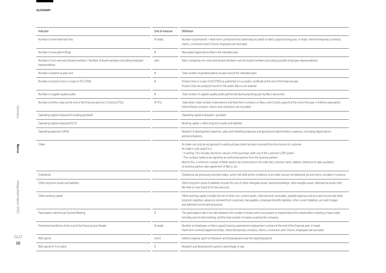| Indicator                                                                                             | Unit of measure | Definition                                                                                                                                                                                                                                                                                                                                                                                                                                                                                                                                    |
|-------------------------------------------------------------------------------------------------------|-----------------|-----------------------------------------------------------------------------------------------------------------------------------------------------------------------------------------------------------------------------------------------------------------------------------------------------------------------------------------------------------------------------------------------------------------------------------------------------------------------------------------------------------------------------------------------|
| Number of new (external) hires                                                                        | # heads         | Number of permanent + fixed-term contracted hires (externally recruited) on Barco payroll during year, in heads. Interim/temporary contracts,<br>interns, contractors and Cinionic employees are excluded.                                                                                                                                                                                                                                                                                                                                    |
| Number of new patent filings                                                                          | #               | New patent applications filed in the indicated year.                                                                                                                                                                                                                                                                                                                                                                                                                                                                                          |
| Number of non-executive Board members / Number of Board members excluding employee<br>representatives | ratio           | Ratio comparing non-executive board members over the board members (excluding possible employee representatives)                                                                                                                                                                                                                                                                                                                                                                                                                              |
| Number of patents at year-end                                                                         | #               | Total number of granted patents at year-end (of the indicated year).                                                                                                                                                                                                                                                                                                                                                                                                                                                                          |
| Number of product lines in scope of ISO 27001                                                         | #               | Product lines in scope of ISO27001 as published on our public certificate at the end of the financial year.<br>Product lines are products found on the public Barco.com website.                                                                                                                                                                                                                                                                                                                                                              |
| Number of supplier quality audits                                                                     | $\#$            | Total number of supplier quality audits performed during reporting year by Barco personnel.                                                                                                                                                                                                                                                                                                                                                                                                                                                   |
| Number of white collars at the end of the financial year (incl Cinionic) (FTEs)                       | #FTFs           | Total white-collar number of permanent and fixed-term contracts on Barco and Cinionic payroll at the end of the year, in fulltime equivalents.<br>Interim/temp contracts, interns and contractors are excluded.                                                                                                                                                                                                                                                                                                                               |
| Operating capital employed (including goodwill)                                                       |                 | Operating capital employed + goodwill                                                                                                                                                                                                                                                                                                                                                                                                                                                                                                         |
| Operating capital employed (OCE)                                                                      |                 | Working capital + other long term assets and liabilities                                                                                                                                                                                                                                                                                                                                                                                                                                                                                      |
| Operating expenses (OPEX)                                                                             |                 | Research & development expenses, sales and marketing expenses and general and administration expenses; excluding depreciations<br>and amortizations                                                                                                                                                                                                                                                                                                                                                                                           |
| Order                                                                                                 |                 | An order can only be recognized if a valid purchase order has been received from the invoice-to customer.<br>An order is only valid if it is:<br>- In writing. This includes electronic version of the purchase order out of the customer's ERP system.<br>- The contract needs to be signed by an authorized person from the business partner.<br>Next to this, a minimum number of fields need to be mentioned on the order like customer name, address, reference to sales quotation<br>or business partner sales agreement of Barco, etc. |
| Orderbook                                                                                             |                 | Orderbook are previously received orders, which still fulfill all the conditions of an order, but are not delivered yet and hence not taken in revenue.                                                                                                                                                                                                                                                                                                                                                                                       |
| Other long term assets and liabilities                                                                |                 | Other long term assets & liabilities include the sum of other intangible assets, land and buildings, other tangible assets, deferred tax assets (net).<br>We refer to note 9 and 10 for the amounts.                                                                                                                                                                                                                                                                                                                                          |
| Other working capital                                                                                 |                 | Other working capital includes the net of other non-current assets, other amounts receivable, prepaid expenses and accrued income and other<br>long term liabilities, advances received from customers, tax payables, employee benefits liabilities, other current liabilities, accrued charges<br>and deferred income and provisions                                                                                                                                                                                                         |
| Participation rate Annual General Meeting                                                             | $\frac{9}{6}$   | The participation rate is the ratio between the number of shares which are present or represented at the shareholders meeting or have voted<br>remotely prior to that meeting, and the total number of shares issued by the company.                                                                                                                                                                                                                                                                                                          |
| Permanent workforce at the end of the financial year (heads)                                          | # heads         | Number of employees on Barco payroll having a permanent employment contract at the end of the financial year, in heads.<br>Fixed-term contracts/apprenticeships, interim/temporary contracts, interns, contractors and Cinionic employees are excluded.                                                                                                                                                                                                                                                                                       |
| R&D spend                                                                                             | mio €           | Indirect expense spent on Research and Development over the reporting period                                                                                                                                                                                                                                                                                                                                                                                                                                                                  |
| R&D spend (in % of sales)                                                                             | $\frac{9}{6}$   | Research and development spend in percentage of sale                                                                                                                                                                                                                                                                                                                                                                                                                                                                                          |

GLO  $10$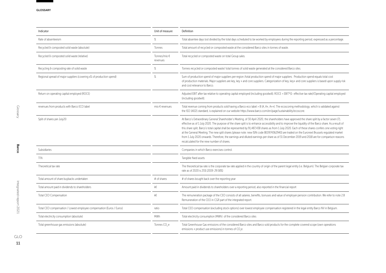| Unit of measure          | Definition                                                                                                                                                                                                                                                                                                                                                                                                                                                                                                                                                                                                                                                                                                                                                                                                     |
|--------------------------|----------------------------------------------------------------------------------------------------------------------------------------------------------------------------------------------------------------------------------------------------------------------------------------------------------------------------------------------------------------------------------------------------------------------------------------------------------------------------------------------------------------------------------------------------------------------------------------------------------------------------------------------------------------------------------------------------------------------------------------------------------------------------------------------------------------|
| $\%$                     | Total absentee days lost divided by the total days scheduled to be worked by employees during the reporting period, expressed as a percentage.                                                                                                                                                                                                                                                                                                                                                                                                                                                                                                                                                                                                                                                                 |
| Tonnes                   | Total amount of recycled or composted waste at the considered Barco sites in tonnes of waste.                                                                                                                                                                                                                                                                                                                                                                                                                                                                                                                                                                                                                                                                                                                  |
| Tonnes/mio €<br>revenues | Total recycled or composted waste on total Group sales.                                                                                                                                                                                                                                                                                                                                                                                                                                                                                                                                                                                                                                                                                                                                                        |
| $\%$                     | Tonnes recycled or composted waste/ total tonnes of solid waste generated at the considered Barco sites.                                                                                                                                                                                                                                                                                                                                                                                                                                                                                                                                                                                                                                                                                                       |
| %                        | Sum of production spend of major suppliers per region /total production spend of major suppliers. Production spend equals total cost<br>of production materials. Major suppliers are key, key + and core suppliers. Categorization of key, key+ and core suppliers is based upon supply risk<br>and cost relevance to Barco.                                                                                                                                                                                                                                                                                                                                                                                                                                                                                   |
|                          | Adjusted EBIT after tax relative to operating capital employed (including goodwill). ROCE = EBIT*(1- effective tax rate)/Operating capital employed<br>(including goodwill).                                                                                                                                                                                                                                                                                                                                                                                                                                                                                                                                                                                                                                   |
| mio $\epsilon$ revenues  | Total revenue coming from products sold having a Barco eco label > B (A, A+, A++). The ecoscoring methodology, which is validated against<br>the ISO 14021 standard, is explained on our website https://www.barco.com/en/paqe/sustainability/ecoscore.                                                                                                                                                                                                                                                                                                                                                                                                                                                                                                                                                        |
|                          | At Barco's Extraordinary General Shareholder's Meeting, of 30 April 2020, the shareholders have approved the share split by a factor seven (7),<br>effective as of 1 July 2020. The purpose of the share split is to enhance accessibility and to improve the liquidity of the Barco share. As a result of<br>this share split, Barco's total capital shall be represented by 91,487,438 shares as from 1 July 2020. Each of these shares confers one voting right<br>at the General Meeting. The new split shares (please note: new ISIN code BE0974362940) are traded on the Euronext Brussels regulated market<br>from 1 July 2020 onwards. Therefore, the earnings and diluted earnings per share as of 31 December 2019 and 2018 are for comparison reasons<br>recalculated for the new number of shares. |
|                          | Companies in which Barco exercises control                                                                                                                                                                                                                                                                                                                                                                                                                                                                                                                                                                                                                                                                                                                                                                     |
|                          | Tangible fixed assets                                                                                                                                                                                                                                                                                                                                                                                                                                                                                                                                                                                                                                                                                                                                                                                          |
|                          | The theoretical tax rate is the corporate tax rate applied in the country of origin of the parent legal entity (i.e. Belgium). The Belgian corporate tax<br>rate as of 2020 is 25% (2019: 29.58%)                                                                                                                                                                                                                                                                                                                                                                                                                                                                                                                                                                                                              |
| # of shares              | # of shares bought back over the reporting year                                                                                                                                                                                                                                                                                                                                                                                                                                                                                                                                                                                                                                                                                                                                                                |
| k€                       | Amount paid in dividends to shareholders over a reporting period, also reported in the financial report                                                                                                                                                                                                                                                                                                                                                                                                                                                                                                                                                                                                                                                                                                        |
| k€                       | The remuneration package of the CEO consists of all salaries, benefits, bonuses and value of employer pension contribution. We refer to note 2.B<br>Remuneration of the CEO in CGR part of the integrated report.                                                                                                                                                                                                                                                                                                                                                                                                                                                                                                                                                                                              |
| ratio                    | Total CEO compensation (excluding stock options) over lowest employee compensation registered in the legal entity Barco NV in Belgium.                                                                                                                                                                                                                                                                                                                                                                                                                                                                                                                                                                                                                                                                         |
| <b>MWh</b>               | Total electricity consumption (MWh) of the considered Barco sites                                                                                                                                                                                                                                                                                                                                                                                                                                                                                                                                                                                                                                                                                                                                              |
| Tonnes CO <sub>2</sub> e | Total Greenhouse Gas emissions of the considered Barco sites and Barco sold products for the complete covered scope (own operations<br>emissions + product use emissions) in tonnes of CO <sub>2</sub> e.                                                                                                                                                                                                                                                                                                                                                                                                                                                                                                                                                                                                      |
|                          |                                                                                                                                                                                                                                                                                                                                                                                                                                                                                                                                                                                                                                                                                                                                                                                                                |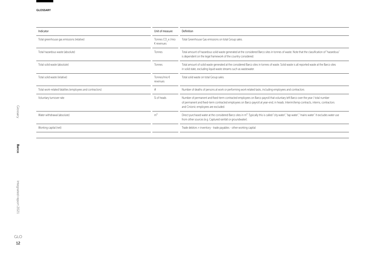| Unit of measure                          | Definition                                                                                                                                                                                                                                                                                                       |
|------------------------------------------|------------------------------------------------------------------------------------------------------------------------------------------------------------------------------------------------------------------------------------------------------------------------------------------------------------------|
| Tonnes CO, e /mio<br>$\epsilon$ revenues | Total Greenhouse Gas emissions on total Group sales.                                                                                                                                                                                                                                                             |
| Tonnes                                   | Total amount of hazardous solid waste generated at the considered Barco sites in tonnes of waste. Note that the classification of "hazardous"<br>is dependent on the legal framework of the country considered.                                                                                                  |
| <b>Tonnes</b>                            | Total amount of solid waste generated at the considered Barco sites in tonnes of waste. Solid waste is all reported waste at the Barco sites<br>in solid state, excluding liquid waste streams such as wastewater.                                                                                               |
| Tonnes/mio €<br>revenues                 | Total solid waste on total Group sales.                                                                                                                                                                                                                                                                          |
|                                          | Number of deaths of persons at work or performing work related tasks, including employees and contractors                                                                                                                                                                                                        |
| % of heads                               | Number of permanent and fixed-term contracted employees on Barco payroll that voluntary left Barco over the year / total number<br>of permanent and fixed-term contracted employees on Barco payroll at year-end, in heads. Interim/temp contracts, interns, contractors<br>and Cinionic employees are excluded. |
| m <sup>3</sup>                           | Direct purchased water at the considered Barco sites in m <sup>3</sup> . Typically this is called "city water", "tap water", "mains water". It excludes water use<br>from other sources (e.g. Captured rainfall or groundwater).                                                                                 |
|                                          | Trade debtors + inventory - trade payables - other working capital                                                                                                                                                                                                                                               |
|                                          |                                                                                                                                                                                                                                                                                                                  |